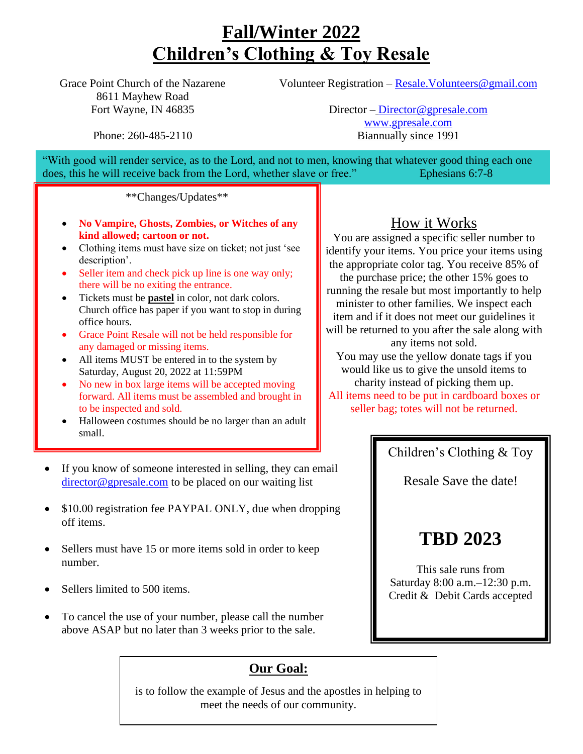### **Fall/Winter 2022 Children's Clothing & Toy Resale**

Grace Point Church of the Nazarene 8611 Mayhew Road Fort Wayne, IN 46835

Volunteer Registration – [Resale.Volunteers@gmail.com](mailto:Resale.Volunteers@gmail.com)

Phone: 260-485-2110

Director – [Director@gpresale.com](mailto:Director@gpresale.com) [www.gpresale.com](http://www.gpresale.com/) Biannually since 1991

"With good will render service, as to the Lord, and not to men, knowing that whatever good thing each one does, this he will receive back from the Lord, whether slave or free." Ephesians 6:7-8

\*\*Changes/Updates\*\*

- **No Vampire, Ghosts, Zombies, or Witches of any kind allowed; cartoon or not.**
- Clothing items must have size on ticket; not just 'see description'.
- Seller item and check pick up line is one way only; there will be no exiting the entrance.
- Tickets must be **pastel** in color, not dark colors. Church office has paper if you want to stop in during office hours.
- Grace Point Resale will not be held responsible for any damaged or missing items.
- All items MUST be entered in to the system by Saturday, August 20, 2022 at 11:59PM
- No new in box large items will be accepted moving forward. All items must be assembled and brought in to be inspected and sold.
- Halloween costumes should be no larger than an adult small.
- If you know of someone interested in selling, they can email [director@gpresale.com](mailto:director@gpresale.com) to be placed on our waiting list
- \$10.00 registration fee PAYPAL ONLY, due when dropping off items.
- Sellers must have 15 or more items sold in order to keep number.
- Sellers limited to 500 items.
- To cancel the use of your number, please call the number above ASAP but no later than 3 weeks prior to the sale.

#### **Our Goal:**

is to follow the example of Jesus and the apostles in helping to meet the needs of our community.

#### How it Works

You are assigned a specific seller number to identify your items. You price your items using the appropriate color tag. You receive 85% of the purchase price; the other 15% goes to running the resale but most importantly to help minister to other families. We inspect each item and if it does not meet our guidelines it will be returned to you after the sale along with any items not sold. You may use the yellow donate tags if you

would like us to give the unsold items to charity instead of picking them up. All items need to be put in cardboard boxes or seller bag; totes will not be returned.

Children's Clothing & Toy

Resale Save the date!

### **TBD 2023**

This sale runs from Saturday 8:00 a.m.–12:30 p.m. Credit & Debit Cards accepted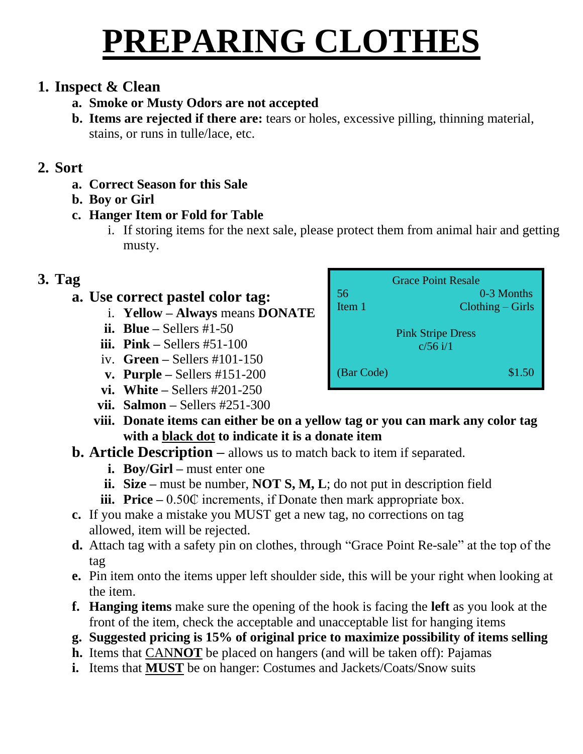# **PREPARING CLOTHES**

#### **1. Inspect & Clean**

#### **a. Smoke or Musty Odors are not accepted**

**b. Items are rejected if there are:** tears or holes, excessive pilling, thinning material, stains, or runs in tulle/lace, etc.

#### **2. Sort**

- **a. Correct Season for this Sale**
- **b. Boy or Girl**
- **c. Hanger Item or Fold for Table**
	- i. If storing items for the next sale, please protect them from animal hair and getting musty.

#### **3. Tag**

#### **a. Use correct pastel color tag:**

- i. **Yellow – Always** means **DONATE**
- **ii. Blue –** Sellers #1-50
- **iii. Pink –** Sellers #51-100
- iv. **Green –** Sellers #101-150
- **v. Purple –** Sellers #151-200
- **vi. White –** Sellers #201-250
- **vii. Salmon –** Sellers #251-300
- **viii. Donate items can either be on a yellow tag or you can mark any color tag with a black dot to indicate it is a donate item**

#### **b. Article Description –** allows us to match back to item if separated.

- **i. Boy/Girl –** must enter one
- **ii. Size –** must be number, **NOT S, M, L**; do not put in description field
- **iii. Price** 0.50 $\mathbb{C}$  increments, if Donate then mark appropriate box.
- **c.** If you make a mistake you MUST get a new tag, no corrections on tag allowed, item will be rejected.
- **d.** Attach tag with a safety pin on clothes, through "Grace Point Re-sale" at the top of the tag
- **e.** Pin item onto the items upper left shoulder side, this will be your right when looking at the item.
- **f. Hanging items** make sure the opening of the hook is facing the **left** as you look at the front of the item, check the acceptable and unacceptable list for hanging items
- **g. Suggested pricing is 15% of original price to maximize possibility of items selling**
- **h.** Items that CAN**NOT** be placed on hangers (and will be taken off): Pajamas
- **i.** Items that **MUST** be on hanger: Costumes and Jackets/Coats/Snow suits

| 56<br>Item 1                           | <b>Grace Point Resale</b><br>0-3 Months<br>$Clothing - Girls$ |  |
|----------------------------------------|---------------------------------------------------------------|--|
| <b>Pink Stripe Dress</b><br>$c/56$ i/1 |                                                               |  |
| (Bar Code)                             | \$1.50                                                        |  |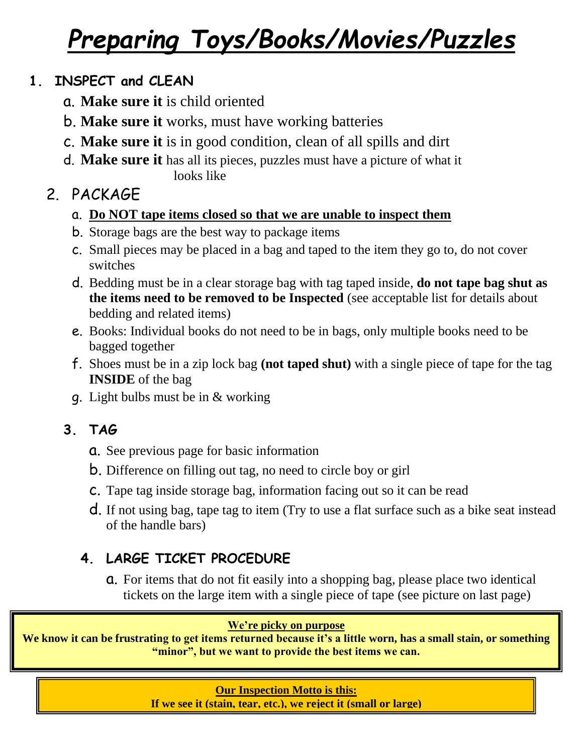## *Preparing Toys/Books/Movies/Puzzles*

#### **1. INSPECT and CLEAN**

- a. **Make sure it** is child oriented
- b. **Make sure it** works, must have working batteries
- c. **Make sure it** is in good condition, clean of all spills and dirt
- d. **Make sure it** has all its pieces, puzzles must have a picture of what it looks like

### 2. PACKAGE

- a. **Do NOT tape items closed so that we are unable to inspect them**
- b. Storage bags are the best way to package items
- c. Small pieces may be placed in a bag and taped to the item they go to, do not cover switches
- d. Bedding must be in a clear storage bag with tag taped inside, **do not tape bag shut as the items need to be removed to be Inspected** (see acceptable list for details about bedding and related items)
- e. Books: Individual books do not need to be in bags, only multiple books need to be bagged together
- f. Shoes must be in a zip lock bag **(not taped shut)** with a single piece of tape for the tag **INSIDE** of the bag
- g. Light bulbs must be in & working

#### **3. TAG**

- a. See previous page for basic information
- b. Difference on filling out tag, no need to circle boy or girl
- c. Tape tag inside storage bag, information facing out so it can be read
- d. If not using bag, tape tag to item (Try to use a flat surface such as a bike seat instead of the handle bars)

#### **4. LARGE TICKET PROCEDURE**

a. For items that do not fit easily into a shopping bag, please place two identical tickets on the large item with a single piece of tape (see picture on last page)

#### **We're picky on purpose**

**We know it can be frustrating to get items returned because it's a little worn, has a small stain, or something "minor", but we want to provide the best items we can.**

#### **Our Inspection Motto is this:**

**If we see it (stain, tear, etc.), we reject it (small or large)**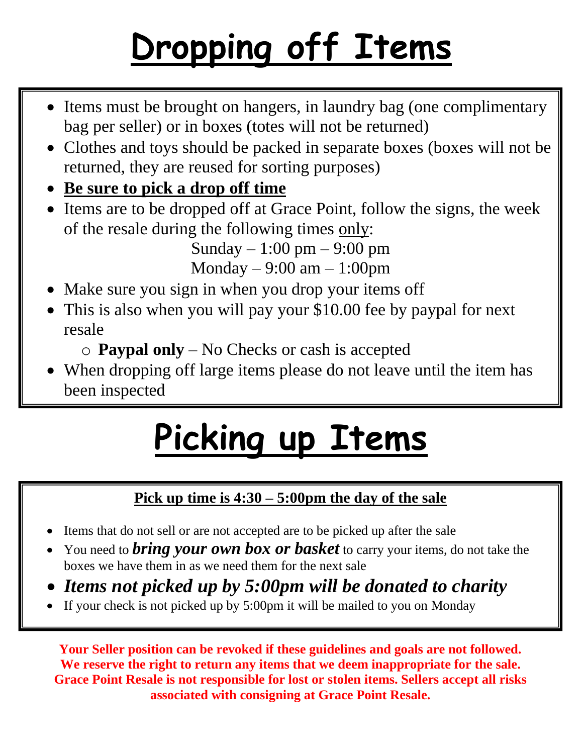# **Dropping off Items**

- Items must be brought on hangers, in laundry bag (one complimentary bag per seller) or in boxes (totes will not be returned) bag per seller) or in boxes (totes will not be returned)
- **Propert 1** returned, they are reused for sorting purposes) • Clothes and toys should be packed in separate boxes (boxes will not be
	- **Be sure to pick a drop off time**
	- Items are to be dropped off at Grace Point, follow the signs, the week of the resale during the following times only:

Sunday – 1:00 pm – 9:00 pm Monday  $-9:00$  am  $-1:00$ pm

- Make sure you sign in when you drop your items off
- This is also when you will pay your \$10.00 fee by paypal for next resale

o **Paypal only** – No Checks or cash is accepted

• When dropping off large items please do not leave until the item has been inspected

# **Picking up Items**

#### **Pick up time is 4:30 – 5:00pm the day of the sale**

- Items that do not sell or are not accepted are to be picked up after the sale
- You need to *bring your own box or basket* to carry your items, do not take the boxes we have them in as we need them for the next sale
- *Items not picked up by 5:00pm will be donated to charity*
- If your check is not picked up by 5:00pm it will be mailed to you on Monday

**Your Seller position can be revoked if these guidelines and goals are not followed. We reserve the right to return any items that we deem inappropriate for the sale. Grace Point Resale is not responsible for lost or stolen items. Sellers accept all risks associated with consigning at Grace Point Resale.**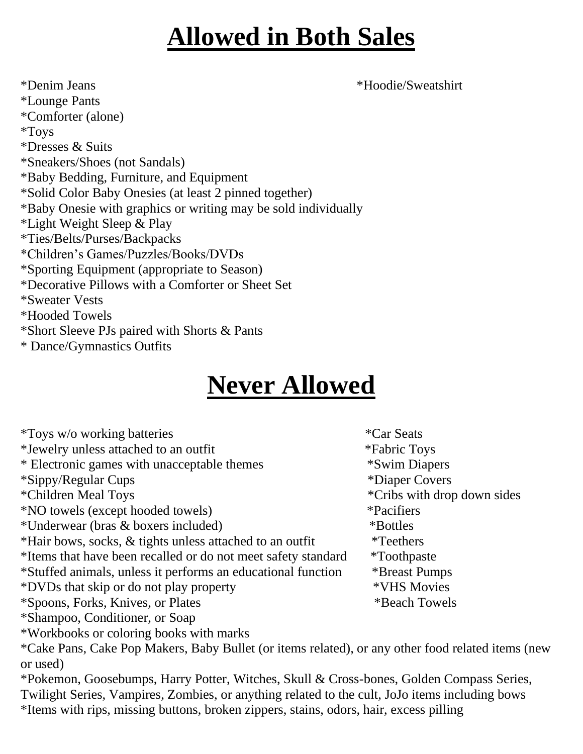### **Allowed in Both Sales**

\*Denim Jeans \*Hoodie/Sweatshirt \*Lounge Pants \*Comforter (alone) \*Toys \*Dresses & Suits \*Sneakers/Shoes (not Sandals) \*Baby Bedding, Furniture, and Equipment \*Solid Color Baby Onesies (at least 2 pinned together) \*Baby Onesie with graphics or writing may be sold individually \*Light Weight Sleep & Play \*Ties/Belts/Purses/Backpacks \*Children's Games/Puzzles/Books/DVDs \*Sporting Equipment (appropriate to Season) \*Decorative Pillows with a Comforter or Sheet Set \*Sweater Vests \*Hooded Towels \*Short Sleeve PJs paired with Shorts & Pants \* Dance/Gymnastics Outfits

### **Never Allowed**

| <i>*Toys w/o working batteries</i>                                                                | <i>*Car Seats</i>           |
|---------------------------------------------------------------------------------------------------|-----------------------------|
| *Jewelry unless attached to an outfit                                                             | <i>*Fabric Toys</i>         |
| * Electronic games with unacceptable themes                                                       | <i>*Swim Diapers</i>        |
| *Sippy/Regular Cups                                                                               | *Diaper Covers              |
| *Children Meal Toys                                                                               | *Cribs with drop down sides |
| <i>*NO</i> towels (except hooded towels)                                                          | <i>*Pacifiers</i>           |
| *Underwear (bras & boxers included)                                                               | *Bottles                    |
| *Hair bows, socks, & tights unless attached to an outfit                                          | <i>*</i> Teethers           |
| *Items that have been recalled or do not meet safety standard                                     | <i>*</i> Toothpaste         |
| *Stuffed animals, unless it performs an educational function                                      | <i><b>*Breast Pumps</b></i> |
| *DVDs that skip or do not play property                                                           | *VHS Movies                 |
| *Spoons, Forks, Knives, or Plates                                                                 | *Beach Towels               |
| *Shampoo, Conditioner, or Soap                                                                    |                             |
| *Workbooks or coloring books with marks                                                           |                             |
| *Cake Pans, Cake Pop Makers, Baby Bullet (or items related), or any other food related items (new |                             |
| or used)                                                                                          |                             |
| *Pokemon, Goosebumps, Harry Potter, Witches, Skull & Cross-bones, Golden Compass Series,          |                             |
| Twilight Series, Vampires, Zombies, or anything related to the cult, JoJo items including bows    |                             |
| *Items with rips, missing buttons, broken zippers, stains, odors, hair, excess pilling            |                             |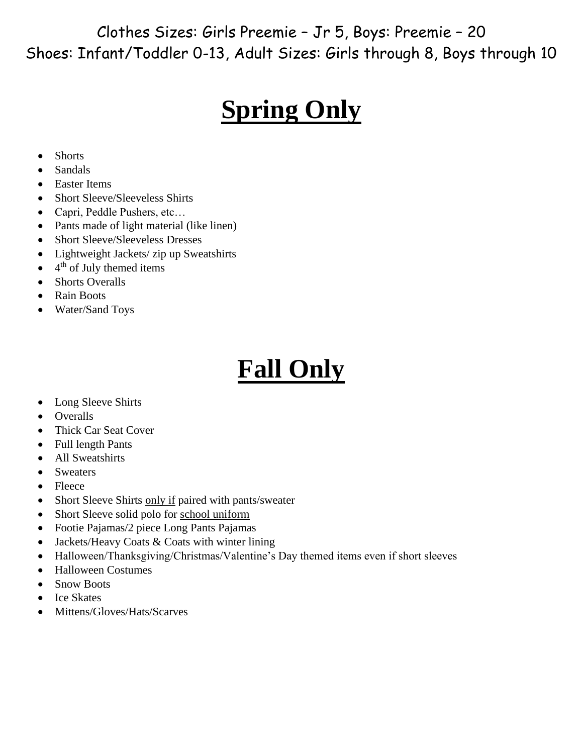Clothes Sizes: Girls Preemie – Jr 5, Boys: Preemie – 20 Shoes: Infant/Toddler 0-13, Adult Sizes: Girls through 8, Boys through 10

### **Spring Only**

- Shorts
- Sandals
- Easter Items
- Short Sleeve/Sleeveless Shirts
- Capri, Peddle Pushers, etc...
- Pants made of light material (like linen)
- Short Sleeve/Sleeveless Dresses
- Lightweight Jackets/ zip up Sweatshirts
- $\bullet$  4<sup>th</sup> of July themed items
- Shorts Overalls
- Rain Boots
- Water/Sand Toys

## **Fall Only**

- Long Sleeve Shirts
- Overalls
- Thick Car Seat Cover
- Full length Pants
- All Sweatshirts
- Sweaters
- Fleece
- Short Sleeve Shirts only if paired with pants/sweater
- Short Sleeve solid polo for school uniform
- Footie Pajamas/2 piece Long Pants Pajamas
- Jackets/Heavy Coats & Coats with winter lining
- Halloween/Thanksgiving/Christmas/Valentine's Day themed items even if short sleeves
- Halloween Costumes
- Snow Boots
- Ice Skates
- Mittens/Gloves/Hats/Scarves